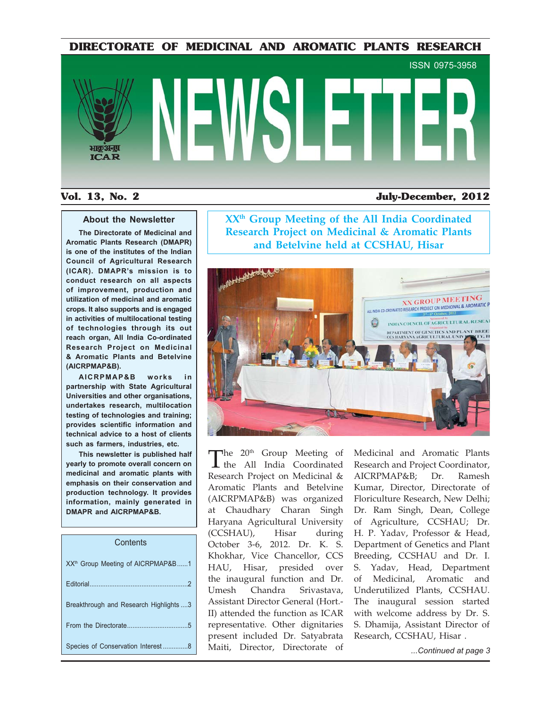**DIRECTORATE OF MEDICINAL AND AROMATIC PLANTS RESEARCH**



### **Vol. 13, No. 2 July-December, 2012**

#### **About the Newsletter**

**The Directorate of Medicinal and Aromatic Plants Research (DMAPR) is one of the institutes of the Indian Council of Agricultural Research (ICAR). DMAPR's mission is to conduct research on all aspects of improvement, production and utilization of medicinal and aromatic crops. It also supports and is engaged in activities of multilocational testing of technologies through its out reach organ, All India Co-ordinated Research Project on Medicinal & Aromatic Plants and Betelvine (AICRPMAP&B).**

**AICRPMAP&B works in partnership with State Agricultural Universities and other organisations, undertakes research, multilocation testing of technologies and training; provides scientific information and technical advice to a host of clients such as farmers, industries, etc.**

**This newsletter is published half yearly to promote overall concern on medicinal and aromatic plants with emphasis on their conservation and production technology. It provides information, mainly generated in DMAPR and AICRPMAP&B.**

#### **Contents**

|                                               | Knokhar, vice Chancellor, CCS breeding, CCSHAU and Dr. I.           |                     |
|-----------------------------------------------|---------------------------------------------------------------------|---------------------|
| XX <sup>th</sup> Group Meeting of AICRPMAP&B1 | HAU, Hisar, presided over S. Yadav, Head, Department                |                     |
|                                               | the inaugural function and Dr. of Medicinal, Aromatic and           |                     |
|                                               | Umesh Chandra Srivastava, Underutilized Plants, CCSHAU.             |                     |
| Breakthrough and Research Highlights 3        | Assistant Director General (Hort.- The inaugural session started    |                     |
|                                               | II) attended the function as ICAR with welcome address by Dr. S.    |                     |
|                                               | representative. Other dignitaries S. Dhamija, Assistant Director of |                     |
|                                               | present included Dr. Satyabrata Research, CCSHAU, Hisar.            |                     |
| Species of Conservation Interest8             | Maiti, Director, Directorate of                                     | Continued at page 3 |

**XXth Group Meeting of the All India Coordinated Research Project on Medicinal & Aromatic Plants and Betelvine held at CCSHAU, Hisar**



 $\int$  the 20<sup>th</sup> Group Meeting of the All India Coordinated Research Project on Medicinal & Aromatic Plants and Betelvine (AICRPMAP&B) was organized at Chaudhary Charan Singh Haryana Agricultural University (CCSHAU), Hisar during October 3-6, 2012. Dr. K. S. Khokhar, Vice Chancellor, CCS HAU, Hisar, presided over the inaugural function and Dr. Umesh Chandra Srivastava, Assistant Director General (Hort.- II) attended the function as ICAR representative. Other dignitaries present included Dr. Satyabrata

Medicinal and Aromatic Plants Research and Project Coordinator, AICRPMAP&B; Dr. Ramesh Kumar, Director, Directorate of Floriculture Research, New Delhi; Dr. Ram Singh, Dean, College of Agriculture, CCSHAU; Dr. H. P. Yadav, Professor & Head, Department of Genetics and Plant Breeding, CCSHAU and Dr. I. S. Yadav, Head, Department of Medicinal, Aromatic and Underutilized Plants, CCSHAU. The inaugural session started with welcome address by Dr. S. S. Dhamija, Assistant Director of Research, CCSHAU, Hisar .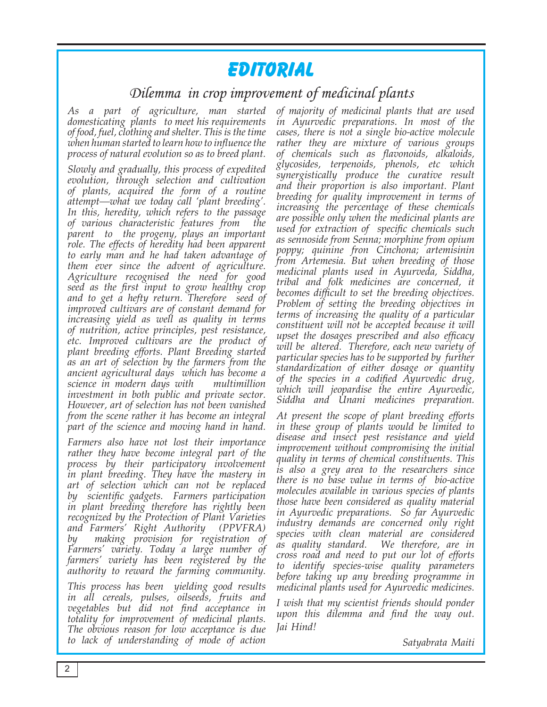# **Editorial**

# Dilemma in crop improvement of medicinal plants

*As a part of agriculture, man started domesticating plants to meet his requirements of food, fuel, clothing and shelter. This is the time when human started to learn how to influence the process of natural evolution so as to breed plant.* 

*Slowly and gradually, this process of expedited evolution, through selection and cultivation of plants, acquired the form of a routine attempt—what we today call 'plant breeding'. In this, heredity, which refers to the passage of various characteristic features from the parent to the progeny, plays an important role. The effects of heredity had been apparent to early man and he had taken advantage of them ever since the advent of agriculture. Agriculture recognised the need for good seed as the first input to grow healthy crop and to get a hefty return. Therefore seed of improved cultivars are of constant demand for increasing yield as well as quality in terms of nutrition, active principles, pest resistance, etc. Improved cultivars are the product of plant breeding efforts. Plant Breeding started as an art of selection by the farmers from the ancient agricultural days which has become a science in modern days with multimillion investment in both public and private sector. However, art of selection has not been vanished from the scene rather it has become an integral part of the science and moving hand in hand.* 

*Farmers also have not lost their importance rather they have become integral part of the process by their participatory involvement in plant breeding. They have the mastery in art of selection which can not be replaced by scientific gadgets. Farmers participation in plant breeding therefore has rightly been recognized by the Protection of Plant Varieties and Farmers' Right Authority (PPVFRA) by making provision for registration of Farmers' variety. Today a large number of farmers' variety has been registered by the authority to reward the farming community.* 

*This process has been yielding good results in all cereals, pulses, oilseeds, fruits and vegetables but did not find acceptance in totality for improvement of medicinal plants. The obvious reason for low acceptance is due to lack of understanding of mode of action* 

*of majority of medicinal plants that are used in Ayurvedic preparations. In most of the cases, there is not a single bio-active molecule rather they are mixture of various groups of chemicals such as flavonoids, alkaloids, glycosides, terpenoids, phenols, etc which synergistically produce the curative result and their proportion is also important. Plant breeding for quality improvement in terms of increasing the percentage of these chemicals are possible only when the medicinal plants are used for extraction of specific chemicals such as sennoside from Senna; morphine from opium poppy; quinine fron Cinchona; artemisinin from Artemesia. But when breeding of those medicinal plants used in Ayurveda, Siddha, tribal and folk medicines are concerned, it becomes difficult to set the breeding objectives. Problem of setting the breeding objectives in terms of increasing the quality of a particular constituent will not be accepted because it will upset the dosages prescribed and also efficacy will be altered. Therefore, each new variety of particular species has to be supported by further standardization of either dosage or quantity of the species in a codified Ayurvedic drug, which will jeopardise the entire Ayurvedic, Siddha and Unani medicines preparation.*

*At present the scope of plant breeding efforts in these group of plants would be limited to disease and insect pest resistance and yield improvement without compromising the initial quality in terms of chemical constituents. This is also a grey area to the researchers since there is no base value in terms of bio-active molecules available in various species of plants those have been considered as quality material in Ayurvedic preparations. So far Ayurvedic industry demands are concerned only right species with clean material are considered as quality standard. We therefore, are in cross road and need to put our lot of efforts to identify species-wise quality parameters before taking up any breeding programme in medicinal plants used for Ayurvedic medicines.* 

*I wish that my scientist friends should ponder upon this dilemma and find the way out. Jai Hind!*

 *Satyabrata Maiti*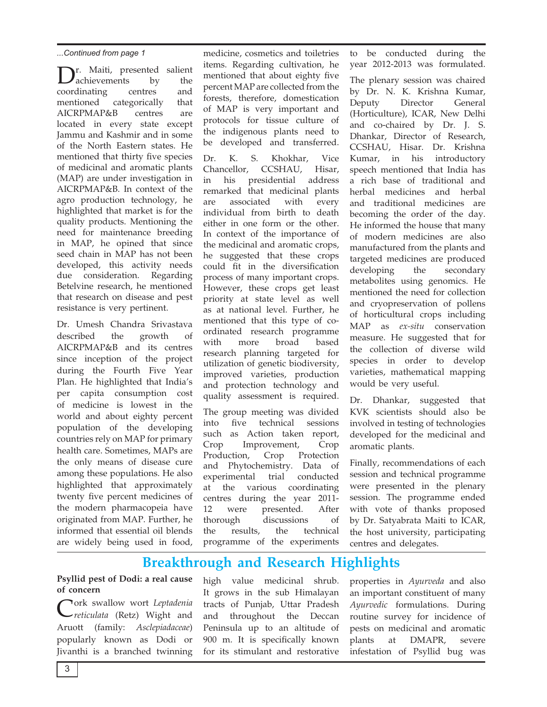**T**. Maiti, presented salient<br>achievements by the<br>rdinating centres and achievements coordinating mentioned categorically that AICRPMAP&B centres are located in every state except Jammu and Kashmir and in some of the North Eastern states. He mentioned that thirty five species of medicinal and aromatic plants (MAP) are under investigation in AICRPMAP&B. In context of the agro production technology, he highlighted that market is for the quality products. Mentioning the need for maintenance breeding in MAP, he opined that since seed chain in MAP has not been developed, this activity needs due consideration. Regarding Betelvine research, he mentioned that research on disease and pest resistance is very pertinent.

Dr. Umesh Chandra Srivastava described the growth of AICRPMAP&B and its centres since inception of the project during the Fourth Five Year Plan. He highlighted that India's per capita consumption cost of medicine is lowest in the world and about eighty percent population of the developing countries rely on MAP for primary health care. Sometimes, MAPs are the only means of disease cure among these populations. He also highlighted that approximately twenty five percent medicines of the modern pharmacopeia have originated from MAP. Further, he informed that essential oil blends are widely being used in food,

medicine, cosmetics and toiletries items. Regarding cultivation, he mentioned that about eighty five percent MAP are collected from the forests, therefore, domestication of MAP is very important and protocols for tissue culture of the indigenous plants need to be developed and transferred. ...Continued from page 1 medicine, cosmetics and toiletries to be conducted during the

> Dr. K. S. Khokhar, Vice Chancellor, CCSHAU, Hisar, in his presidential address remarked that medicinal plants are associated with every individual from birth to death either in one form or the other. In context of the importance of the medicinal and aromatic crops, he suggested that these crops could fit in the diversification process of many important crops. However, these crops get least priority at state level as well as at national level. Further, he mentioned that this type of coordinated research programme with more broad based research planning targeted for utilization of genetic biodiversity, improved varieties, production and protection technology and quality assessment is required.

The group meeting was divided into five technical sessions such as Action taken report, Crop Improvement, Crop Production, Crop Protection and Phytochemistry. Data of experimental trial conducted at the various coordinating centres during the year 2011- 12 were presented. After thorough discussions of the results, the technical programme of the experiments

year 2012-2013 was formulated.

The plenary session was chaired by Dr. N. K. Krishna Kumar, Deputy Director General (Horticulture), ICAR, New Delhi and co-chaired by Dr. J. S. Dhankar, Director of Research, CCSHAU, Hisar. Dr. Krishna Kumar, in his introductory speech mentioned that India has a rich base of traditional and herbal medicines and herbal and traditional medicines are becoming the order of the day. He informed the house that many of modern medicines are also manufactured from the plants and targeted medicines are produced developing the secondary metabolites using genomics. He mentioned the need for collection and cryopreservation of pollens of horticultural crops including MAP as *ex-situ* conservation measure. He suggested that for the collection of diverse wild species in order to develop varieties, mathematical mapping would be very useful.

Dr. Dhankar, suggested that KVK scientists should also be involved in testing of technologies developed for the medicinal and aromatic plants.

Finally, recommendations of each session and technical programme were presented in the plenary session. The programme ended with vote of thanks proposed by Dr. Satyabrata Maiti to ICAR, the host university, participating centres and delegates.

# **Breakthrough and Research Highlights**

**Psyllid pest of Dodi: a real cause of concern**

Cork swallow wort *Leptadenia reticulata* (Retz) Wight and Aruott (family: *Asclepiadaceae*) popularly known as Dodi or Jivanthi is a branched twinning

high value medicinal shrub. It grows in the sub Himalayan tracts of Punjab, Uttar Pradesh and throughout the Deccan Peninsula up to an altitude of 900 m. It is specifically known for its stimulant and restorative

properties in *Ayurveda* and also an important constituent of many *Ayurvedic* formulations. During routine survey for incidence of pests on medicinal and aromatic plants at DMAPR, severe infestation of Psyllid bug was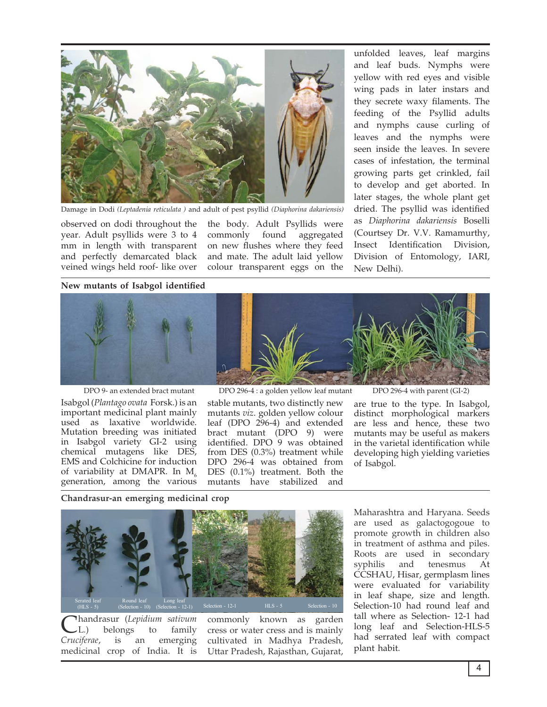

Damage in Dodi *(Leptadenia reticulata )* and adult of pest psyllid *(Diaphorina dakariensis)*

observed on dodi throughout the year. Adult psyllids were 3 to 4 mm in length with transparent and perfectly demarcated black veined wings held roof- like over

the body. Adult Psyllids were commonly found aggregated on new flushes where they feed and mate. The adult laid yellow colour transparent eggs on the unfolded leaves, leaf margins and leaf buds. Nymphs were yellow with red eyes and visible wing pads in later instars and they secrete waxy filaments. The feeding of the Psyllid adults and nymphs cause curling of leaves and the nymphs were seen inside the leaves. In severe cases of infestation, the terminal growing parts get crinkled, fail to develop and get aborted. In later stages, the whole plant get dried. The psyllid was identified as *Diaphorina dakariensis* Boselli (Courtsey Dr. V.V. Ramamurthy, Insect Identification Division, Division of Entomology, IARI, New Delhi).

**New mutants of Isabgol identified**



Isabgol (*Plantago ovata* Forsk.) is an important medicinal plant mainly used as laxative worldwide. Mutation breeding was initiated in Isabgol variety GI-2 using chemical mutagens like DES, EMS and Colchicine for induction of variability at DMAPR. In  $M_6$ generation, among the various

DPO 9- an extended bract mutant DPO 296-4 : a golden yellow leaf mutant DPO 296-4 with parent (GI-2)

stable mutants, two distinctly new mutants *viz*. golden yellow colour leaf (DPO 296-4) and extended bract mutant (DPO 9) were identified. DPO 9 was obtained from DES (0.3%) treatment while DPO 296-4 was obtained from DES (0.1%) treatment. Both the mutants have stabilized and

are true to the type. In Isabgol, distinct morphological markers are less and hence, these two mutants may be useful as makers in the varietal identification while developing high yielding varieties of Isabgol.

**Chandrasur-an emerging medicinal crop**



Chandrasur (*Lepidium sativum*<br>Cruciferae, is an emerging belongs emerging medicinal crop of India. It is

commonly known as garden cress or water cress and is mainly cultivated in Madhya Pradesh, Uttar Pradesh, Rajasthan, Gujarat,

Maharashtra and Haryana. Seeds are used as galactogogoue to promote growth in children also in treatment of asthma and piles. Roots are used in secondary syphilis and tenesmus At CCSHAU, Hisar, germplasm lines were evaluated for variability in leaf shape, size and length. Selection-10 had round leaf and tall where as Selection- 12-1 had long leaf and Selection-HLS-5 had serrated leaf with compact plant habit.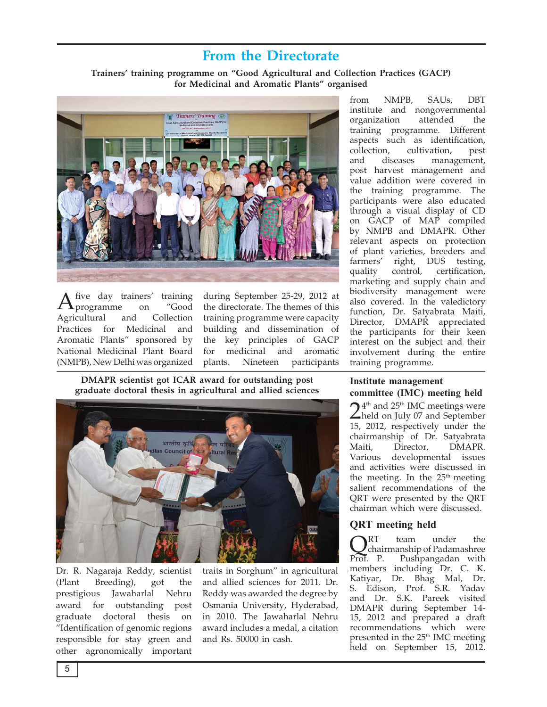# **From the Directorate**

**Trainers' training programme on "Good Agricultural and Collection Practices (GACP) for Medicinal and Aromatic Plants" organised** 



five day trainers' training<br>programme on "Good<br>icultural and Collection programme. Agricultural Practices for Medicinal and Aromatic Plants" sponsored by National Medicinal Plant Board (NMPB), New Delhi was organized

during September 25-29, 2012 at the directorate. The themes of this training programme were capacity building and dissemination of the key principles of GACP for medicinal and aromatic plants. Nineteen participants

**DMAPR scientist got ICAR award for outstanding post graduate doctoral thesis in agricultural and allied sciences**



Dr. R. Nagaraja Reddy, scientist (Plant Breeding), got the prestigious Jawaharlal Nehru award for outstanding post graduate doctoral thesis on "Identification of genomic regions responsible for stay green and other agronomically important traits in Sorghum" in agricultural and allied sciences for 2011. Dr. Reddy was awarded the degree by Osmania University, Hyderabad, in 2010. The Jawaharlal Nehru award includes a medal, a citation and Rs. 50000 in cash.

from NMPB, SAUs, DBT institute and nongovernmental organization attended the training programme. Different aspects such as identification, collection, cultivation, pest and diseases management, post harvest management and value addition were covered in the training programme. The participants were also educated through a visual display of CD on GACP of MAP compiled by NMPB and DMAPR. Other relevant aspects on protection of plant varieties, breeders and farmers' right, DUS testing, quality control, certification, marketing and supply chain and biodiversity management were also covered. In the valedictory function, Dr. Satyabrata Maiti, Director, DMAPR appreciated the participants for their keen interest on the subject and their involvement during the entire training programme.

### **Institute management committee (IMC) meeting held**

 $24<sup>th</sup>$  and  $25<sup>th</sup>$  IMC meetings were<br>held on July 07 and September 15, 2012, respectively under the chairmanship of Dr. Satyabrata Maiti, Director, DMAPR. Various developmental issues and activities were discussed in the meeting. In the  $25<sup>th</sup>$  meeting salient recommendations of the QRT were presented by the QRT chairman which were discussed.

### **QRT meeting held**

 $\mathbf{Q}_{\text{chairmanship of Padamashree}}^{\text{RT}}$ Prof. P. Pushpangadan with members including Dr. C. K. Katiyar, Dr. Bhag Mal, Dr. S. Edison, Prof. S.R. Yadav and Dr. S.K. Pareek visited DMAPR during September 14- 15, 2012 and prepared a draft recommendations which were presented in the 25<sup>th</sup> IMC meeting held on September 15, 2012.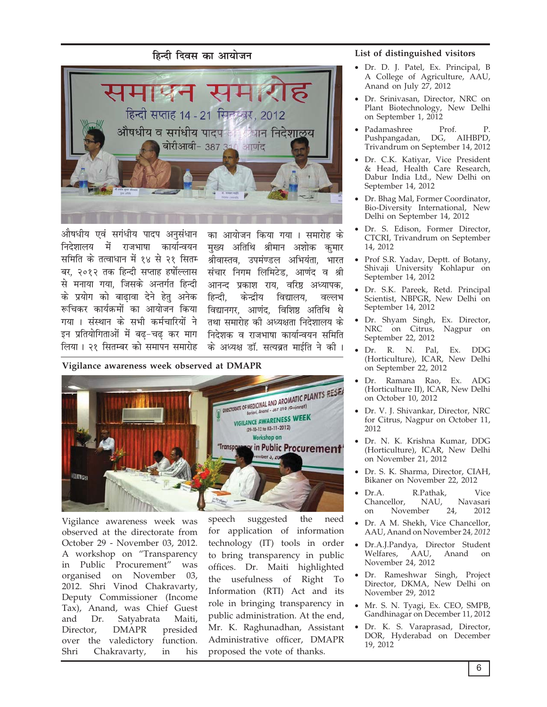## <u>हिन्दी दिवस का आयोजन</u>



औषधीय एवं सगंधीय पादप अनुसंधान *निदेशालय* में राजभाषा कार्यान्वयन *स*मिति के तत्वाधान में १४ से २१ सितम *बर, २०१२ तक हिन्दी सप्ताह हर्षोल्लास*  $\dot{\mathcal{R}}$  मनाया गया, जिसके अन्तर्गत हिन्दी *के प्रयोग को बाढावा देने हेतु अनेक Mç™ÜUÚ ÜU¢²üRU}¢¢ïæ ÜU¢ ¥¢²¢ï…Ý çÜU²¢ x¢²¢ J "æSƒ¢Ý ÜUï "|¢è ÜU}¢ü™¢çÚ²¢ïæ Ýï इन प्रतियोगिताओं में बढ़−चढ़ कर माग लिया* । २१ सितम्बर को समापन समारोह

*का आयोजन किया गया* । समारोह के <u>मुख्य अतिथि श्रीमान अशोक कुमार</u> *श्रीवास्तव, उपमंण्डल अभियंता, भारत*  $\overline{x}$ *संचार निगम लिमिटेड, आणंद व श्री आनन्द प्रकाश राय. वरिष्ठ अध्यापक. हिन्दी*, केन्द्रीय विद्यालय, वल्लभ *f*aद्यानगर, आणंद, विशिष्ठ अतिथि थे *¼ƒ¢ "}¢¢Ú¢ïã ÜUè ¥Š²ÿ¢¼¢ çÝÎïࢢH² ÜUï निदेशक* व राजभाषा कार्यान्वयन समिति के अध्यक्ष डॉ. सत्यब्रत माईति ने की ।

**Vigilance awareness week observed at DMAPR**



Vigilance awareness week was observed at the directorate from October 29 - November 03, 2012. A workshop on "Transparency in Public Procurement" was organised on November 03, 2012. Shri Vinod Chakravarty, Deputy Commissioner (Income Tax), Anand, was Chief Guest and Dr. Satyabrata Maiti, Director, DMAPR presided over the valedictory function. Shri Chakravarty, in his speech suggested the need for application of information technology (IT) tools in order to bring transparency in public offices. Dr. Maiti highlighted the usefulness of Right To Information (RTI) Act and its role in bringing transparency in public administration. At the end, Mr. K. Raghunadhan, Assistant Administrative officer, DMAPR proposed the vote of thanks.

#### **List of distinguished visitors**

- Dr. D. J. Patel, Ex. Principal, B A College of Agriculture, AAU, Anand on July 27, 2012
- Dr. Srinivasan, Director, NRC on Plant Biotechnology, New Delhi on September 1, 2012
- Padamashree Prof. P.<br>Pushpangadan, DG, AIHBPD, Pushpangadan, DG, Trivandrum on September 14, 2012
- Dr. C.K. Katiyar, Vice President & Head, Health Care Research, Dabur India Ltd., New Delhi on September 14, 2012
- Dr. Bhag Mal, Former Coordinator, Bio-Diversity International, New Delhi on September 14, 2012
- Dr. S. Edison, Former Director, CTCRI, Trivandrum on September 14, 2012
- Prof S.R. Yadav, Deptt. of Botany, Shivaji University Kohlapur on September 14, 2012
- Dr. S.K. Pareek, Retd. Principal Scientist, NBPGR, New Delhi on September 14, 2012
- Dr. Shyam Singh, Ex. Director, NRC on Citrus, Nagpur on September 22, 2012
- Dr. R. N. Pal, Ex. DDG (Horticulture), ICAR, New Delhi on September 22, 2012
- Dr. Ramana Rao, Ex. ADG (Horticulture II), ICAR, New Delhi on October 10, 2012
- Dr. V. J. Shivankar, Director, NRC for Citrus, Nagpur on October 11, 2012
- Dr. N. K. Krishna Kumar, DDG (Horticulture), ICAR, New Delhi on November 21, 2012
- Dr. S. K. Sharma, Director, CIAH, Bikaner on November 22, 2012
- Dr.A. R.Pathak, Vice Chancellor, NAU, Navasari on November 24, 2012
- Dr. A M. Shekh, Vice Chancellor, AAU, Anand on November 24*, 2012*
- Dr.A.J.Pandya, Director Student Welfares, AAU, Anand on November 24, 2012
- Dr. Rameshwar Singh, Project Director, DKMA, New Delhi on November 29, 2012
- Mr. S. N. Tyagi, Ex. CEO, SMPB, Gandhinagar on December 11, 2012
- Dr. K. S. Varaprasad, Director, DOR, Hyderabad on December 19, 2012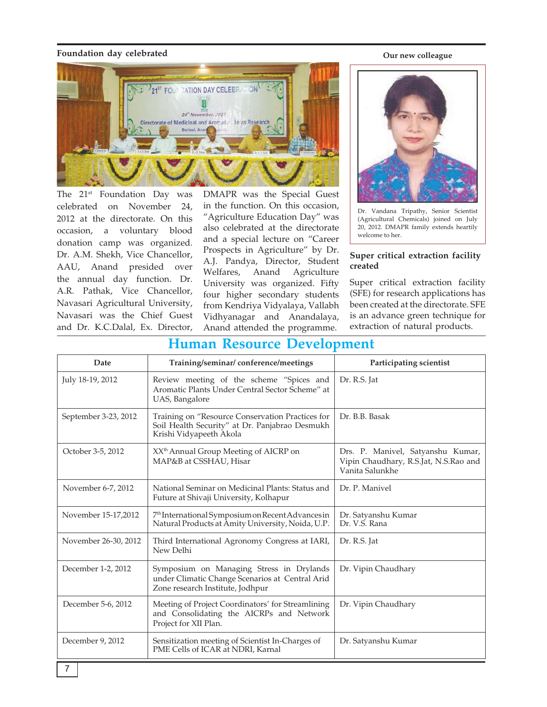#### **Foundation day celebrated**

21<sup>ST</sup> FOUR DATION DAY CELEBRA 24" November, 2012 lants Research Directorate of Medicinal and Aromatic Boriavi, Ana

The 21<sup>st</sup> Foundation Day was celebrated on November 24, 2012 at the directorate. On this occasion, a voluntary blood donation camp was organized. Dr. A.M. Shekh, Vice Chancellor, AAU, Anand presided over the annual day function. Dr. A.R. Pathak, Vice Chancellor, Navasari Agricultural University, Navasari was the Chief Guest and Dr. K.C.Dalal, Ex. Director,

DMAPR was the Special Guest in the function. On this occasion, "Agriculture Education Day" was also celebrated at the directorate and a special lecture on "Career Prospects in Agriculture" by Dr. A.J. Pandya, Director, Student Welfares, Anand Agriculture University was organized. Fifty four higher secondary students from Kendriya Vidyalaya, Vallabh Vidhyanagar and Anandalaya, Anand attended the programme.

#### **Our new colleague**



Dr. Vandana Tripathy, Senior Scientist (Agricultural Chemicals) joined on July 20, 2012. DMAPR family extends heartily welcome to her.

#### **Super critical extraction facility created**

Super critical extraction facility (SFE) for research applications has been created at the directorate. SFE is an advance green technique for extraction of natural products.

| Traman Resource Development |                                                                                                                                 |                                                                                               |  |
|-----------------------------|---------------------------------------------------------------------------------------------------------------------------------|-----------------------------------------------------------------------------------------------|--|
| Date                        | Training/seminar/conference/meetings                                                                                            | Participating scientist                                                                       |  |
| July 18-19, 2012            | Review meeting of the scheme "Spices and<br>Aromatic Plants Under Central Sector Scheme" at<br>UAS, Bangalore                   | Dr. R.S. Jat                                                                                  |  |
| September 3-23, 2012        | Training on "Resource Conservation Practices for<br>Soil Health Security" at Dr. Panjabrao Desmukh<br>Krishi Vidyapeeth Akola   | Dr. B.B. Basak                                                                                |  |
| October 3-5, 2012           | XX <sup>th</sup> Annual Group Meeting of AICRP on<br>MAP&B at CSSHAU, Hisar                                                     | Drs. P. Manivel, Satyanshu Kumar,<br>Vipin Chaudhary, R.S.Jat, N.S.Rao and<br>Vanita Salunkhe |  |
| November 6-7, 2012          | National Seminar on Medicinal Plants: Status and<br>Future at Shivaji University, Kolhapur                                      | Dr. P. Manivel                                                                                |  |
| November 15-17,2012         | 7 <sup>th</sup> International Symposium on Recent Advances in<br>Natural Products at Amity University, Noida, U.P.              | Dr. Satyanshu Kumar<br>Dr. V.S. Rana                                                          |  |
| November 26-30, 2012        | Third International Agronomy Congress at IARI,<br>New Delhi                                                                     | Dr. R.S. Jat                                                                                  |  |
| December 1-2, 2012          | Symposium on Managing Stress in Drylands<br>under Climatic Change Scenarios at Central Arid<br>Zone research Institute, Jodhpur | Dr. Vipin Chaudhary                                                                           |  |
| December 5-6, 2012          | Meeting of Project Coordinators' for Streamlining<br>and Consolidating the AICRPs and Network<br>Project for XII Plan.          | Dr. Vipin Chaudhary                                                                           |  |
| December 9, 2012            | Sensitization meeting of Scientist In-Charges of<br>PME Cells of ICAR at NDRI, Karnal                                           | Dr. Satyanshu Kumar                                                                           |  |

## **Human Resource Development**